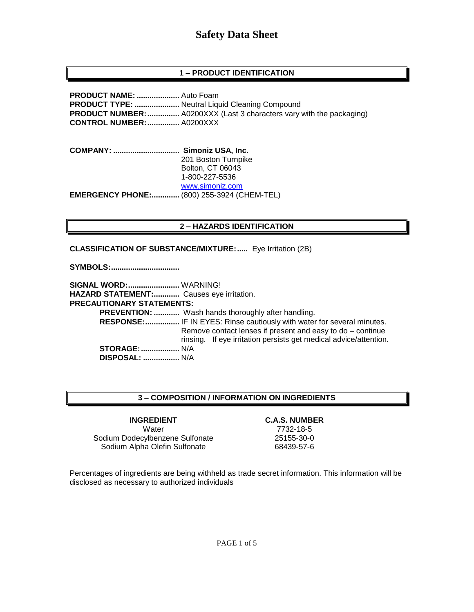### **1 – PRODUCT IDENTIFICATION**

**PRODUCT NAME: ....................** Auto Foam **PRODUCT TYPE: .....................** Neutral Liquid Cleaning Compound **PRODUCT NUMBER:...............** A0200XXX (Last 3 characters vary with the packaging) **CONTROL NUMBER:...............** A0200XXX

**COMPANY: ............................... Simoniz USA, Inc.** 201 Boston Turnpike Bolton, CT 06043 1-800-227-5536 [www.simoniz.com](http://www.simoniz.com/) **EMERGENCY PHONE:.............** (800) 255-3924 (CHEM-TEL)

#### **2 – HAZARDS IDENTIFICATION**

**CLASSIFICATION OF SUBSTANCE/MIXTURE:.....** Eye Irritation (2B)

**SYMBOLS:................................**

**SIGNAL WORD:........................** WARNING! **HAZARD STATEMENT:............** Causes eye irritation. **PRECAUTIONARY STATEMENTS: PREVENTION: ............** Wash hands thoroughly after handling.  **RESPONSE:................** IF IN EYES: Rinse cautiously with water for several minutes. Remove contact lenses if present and easy to do – continue rinsing. If eye irritation persists get medical advice/attention. **STORAGE:..................** N/A  **DISPOSAL: .................** N/A

#### **3 – COMPOSITION / INFORMATION ON INGREDIENTS**

**INGREDIENT C.A.S. NUMBER** Water 7732-18-5 Sodium Dodecylbenzene Sulfonate 25155-30-0 Sodium Alpha Olefin Sulfonate 68439-57-6

Percentages of ingredients are being withheld as trade secret information. This information will be disclosed as necessary to authorized individuals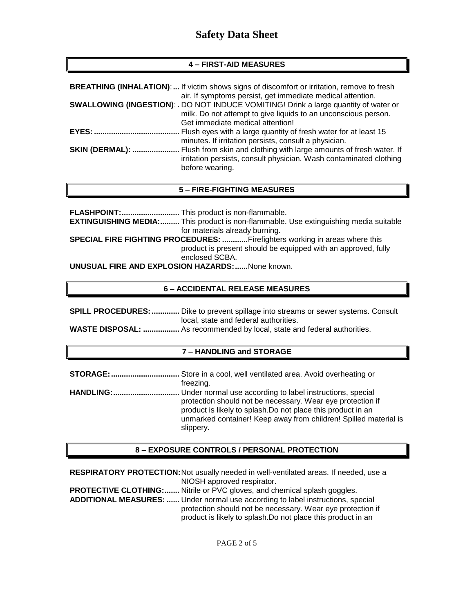#### **4 – FIRST-AID MEASURES**

|                        | <b>BREATHING (INHALATION):</b> If victim shows signs of discomfort or irritation, remove to fresh<br>air. If symptoms persist, get immediate medical attention.                                   |
|------------------------|---------------------------------------------------------------------------------------------------------------------------------------------------------------------------------------------------|
|                        | <b>SWALLOWING (INGESTION): .</b> DO NOT INDUCE VOMITING! Drink a large quantity of water or<br>milk. Do not attempt to give liquids to an unconscious person.<br>Get immediate medical attention! |
|                        | Flush eyes with a large quantity of fresh water for at least 15<br>minutes. If irritation persists, consult a physician.                                                                          |
| <b>SKIN (DERMAL): </b> | Flush from skin and clothing with large amounts of fresh water. If<br>irritation persists, consult physician. Wash contaminated clothing<br>before wearing.                                       |

#### **5 – FIRE-FIGHTING MEASURES**

**FLASHPOINT:...........................** This product is non-flammable. **EXTINGUISHING MEDIA:.........** This product is non-flammable. Use extinguishing media suitable for materials already burning. **SPECIAL FIRE FIGHTING PROCEDURES: ............**Firefighters working in areas where this product is present should be equipped with an approved, fully enclosed SCBA. **UNUSUAL FIRE AND EXPLOSION HAZARDS:......**None known.

#### **6 – ACCIDENTAL RELEASE MEASURES**

| <b>SPILL PROCEDURES: </b> Dike to prevent spillage into streams or sewer systems. Consult |  |
|-------------------------------------------------------------------------------------------|--|
| local, state and federal authorities.                                                     |  |
|                                                                                           |  |

#### **WASTE DISPOSAL: .................** As recommended by local, state and federal authorities.

#### **7 – HANDLING and STORAGE**

| freezing.                                                                                                                                                                                      |
|------------------------------------------------------------------------------------------------------------------------------------------------------------------------------------------------|
| protection should not be necessary. Wear eye protection if<br>product is likely to splash. Do not place this product in an<br>unmarked container! Keep away from children! Spilled material is |
| slippery.                                                                                                                                                                                      |

#### **8 – EXPOSURE CONTROLS / PERSONAL PROTECTION**

**RESPIRATORY PROTECTION:**Not usually needed in well-ventilated areas. If needed, use a NIOSH approved respirator.

**PROTECTIVE CLOTHING:.......** Nitrile or PVC gloves, and chemical splash goggles. **ADDITIONAL MEASURES: ......** Under normal use according to label instructions, special protection should not be necessary. Wear eye protection if product is likely to splash.Do not place this product in an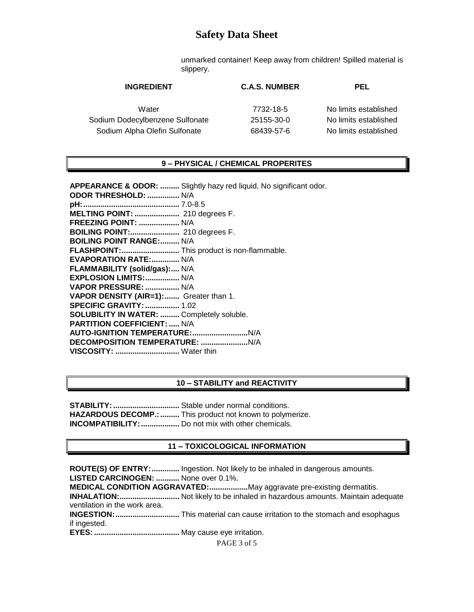unmarked container! Keep away from children! Spilled material is slippery.

| <b>INGREDIENT</b>               | <b>C.A.S. NUMBER</b> | <b>PEL</b>            |
|---------------------------------|----------------------|-----------------------|
| Water                           | 7732-18-5            | No limits established |
| Sodium Dodecylbenzene Sulfonate | 25155-30-0           | No limits established |
| Sodium Alpha Olefin Sulfonate   | 68439-57-6           | No limits established |

#### **9 – PHYSICAL / CHEMICAL PROPERITES**

| <b>APPEARANCE &amp; ODOR: </b> Slightly hazy red liquid. No significant odor. |
|-------------------------------------------------------------------------------|
| ODOR THRESHOLD:  N/A                                                          |
|                                                                               |
| <b>MELTING POINT: </b> 210 degrees F.                                         |
| FREEZING POINT:  N/A                                                          |
| <b>BOILING POINT:</b> 210 degrees F.                                          |
| <b>BOILING POINT RANGE: N/A</b>                                               |
| FLASHPOINT: This product is non-flammable.                                    |
| <b>EVAPORATION RATE: N/A</b>                                                  |
| FLAMMABILITY (solid/gas): N/A                                                 |
| EXPLOSION LIMITS:  N/A                                                        |
| VAPOR PRESSURE:  N/A                                                          |
| VAPOR DENSITY (AIR=1): Greater than 1.                                        |
| <b>SPECIFIC GRAVITY:  1.02</b>                                                |
| <b>SOLUBILITY IN WATER:  Completely soluble.</b>                              |
| <b>PARTITION COEFFICIENT:  N/A</b>                                            |
|                                                                               |
|                                                                               |
| VISCOSITY:  Water thin                                                        |
|                                                                               |

#### **10 – STABILITY and REACTIVITY**

**STABILITY:...............................** Stable under normal conditions. HAZARDOUS DECOMP.: ......... This product not known to polymerize. **INCOMPATIBILITY:..................** Do not mix with other chemicals.

#### **11 – TOXICOLOGICAL INFORMATION**

**ROUTE(S) OF ENTRY:.............** Ingestion. Not likely to be inhaled in dangerous amounts. **LISTED CARCINOGEN: ...........** None over 0.1%. **MEDICAL CONDITION AGGRAVATED:..................**May aggravate pre-existing dermatitis. **INHALATION:............................** Not likely to be inhaled in hazardous amounts. Maintain adequate ventilation in the work area. **INGESTION:..............................** This material can cause irritation to the stomach and esophagus if ingested. **EYES:........................................** May cause eye irritation.

PAGE 3 of 5